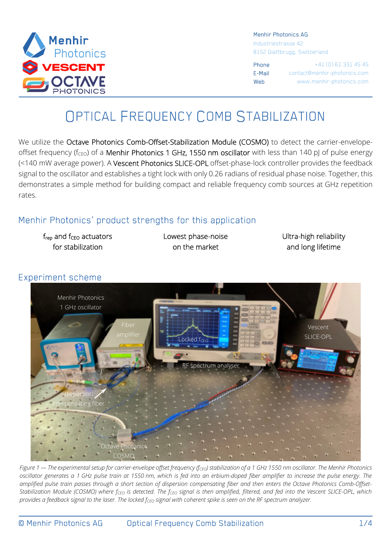

#### Menhir Photonics AG

Industriestrasse 42 8152 Glattbrugg, Switzerland

Phone +41 (0) 61 331 45 45 E-Mail contact@menhir-photonics.com Web www.menhir-photonics.com

# OPTICAL FREQUENCY COMB STABILIZATION

We utilize the Octave Photonics Comb-Offset-Stabilization Module (COSMO) to detect the carrier-envelopeoffset frequency ( $f_{\text{CEO}}$ ) of a Menhir Photonics 1 GHz, 1550 nm oscillator with less than 140 pJ of pulse energy (<140 mW average power). A Vescent Photonics SLICE-OPL offset-phase-lock controller provides the feedback signal to the oscillator and establishes a tight lock with only 0.26 radians of residual phase noise. Together, this demonstrates a simple method for building compact and reliable frequency comb sources at GHz repetition rates.

### Menhir Photonics' product strengths for this application

 $f_{rep}$  and  $f_{CEO}$  actuators for stabilization

Lowest phase-noise on the market

Ultra-high reliability and long lifetime

## Menhir Photonics 1 GHz oscillator Fiber spectrum analys Vescent SLICE-OPL Octave Photonics COSMO **Dispersion** ting fihe ocked f<sub>c</sub>

Experiment scheme

*Figure 1 — The experimental setup for carrier-envelope offset frequency (fCEO) stabilization of a 1 GHz 1550 nm oscillator. The Menhir Photonics oscillator generates a 1 GHz pulse train at 1550 nm, which is fed into an erbium-doped fiber amplifier to increase the pulse energy. The amplified pulse train passes through a short section of dispersion compensating fiber and then enters the Octave Photonics Comb-Offset-Stabilization Module (COSMO) where fCEO is detected. The fCEO signal is then amplified, filtered, and fed into the Vescent SLICE-OPL, which provides a feedback signal to the laser. The locked fCEO signal with coherent spike is seen on the RF spectrum analyzer.*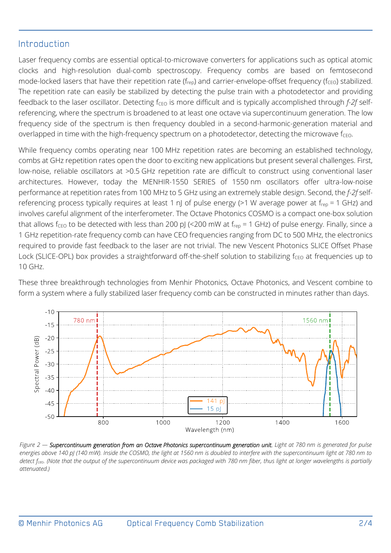#### Introduction

Laser frequency combs are essential optical-to-microwave converters for applications such as optical atomic clocks and high-resolution dual-comb spectroscopy. Frequency combs are based on femtosecond mode-locked lasers that have their repetition rate ( $f_{\text{rep}}$ ) and carrier-envelope-offset frequency ( $f_{\text{CEO}}$ ) stabilized. The repetition rate can easily be stabilized by detecting the pulse train with a photodetector and providing feedback to the laser oscillator. Detecting f<sub>CEO</sub> is more difficult and is typically accomplished through *f-2f* selfreferencing, where the spectrum is broadened to at least one octave via supercontinuum generation. The low frequency side of the spectrum is then frequency doubled in a second-harmonic-generation material and overlapped in time with the high-frequency spectrum on a photodetector, detecting the microwave  $f_{\text{CFO}}$ .

While frequency combs operating near 100 MHz repetition rates are becoming an established technology, combs at GHz repetition rates open the door to exciting new applications but present several challenges. First, low-noise, reliable oscillators at >0.5 GHz repetition rate are difficult to construct using conventional laser architectures. However, today the MENHIR-1550 SERIES of 1550 nm oscillators offer ultra-low-noise performance at repetition rates from 100 MHz to 5 GHz using an extremely stable design. Second, the *f-2f* selfreferencing process typically requires at least 1 nJ of pulse energy (>1 W average power at frep = 1 GHz) and involves careful alignment of the interferometer. The Octave Photonics COSMO is a compact one-box solution that allows fceo to be detected with less than 200 pJ (<200 mW at  $f_{rep}$  = 1 GHz) of pulse energy. Finally, since a 1 GHz repetition-rate frequency comb can have CEO frequencies ranging from DC to 500 MHz, the electronics required to provide fast feedback to the laser are not trivial. The new Vescent Photonics SLICE Offset Phase Lock (SLICE-OPL) box provides a straightforward off-the-shelf solution to stabilizing  $f_{CFO}$  at frequencies up to 10 GHz.

These three breakthrough technologies from Menhir Photonics, Octave Photonics, and Vescent combine to form a system where a fully stabilized laser frequency comb can be constructed in minutes rather than days.



*Figure 2 — Supercontinuum generation from an Octave Photonics supercontinuum generation unit. Light at 780 nm is generated for pulse energies above 140 pJ (140 mW). Inside the COSMO, the light at 1560 nm is doubled to interfere with the supercontinuum light at 780 nm to detect fceo. (Note that the output of the supercontinuum device was packaged with 780 nm fiber, thus light at longer wavelengths is partially attenuated.)*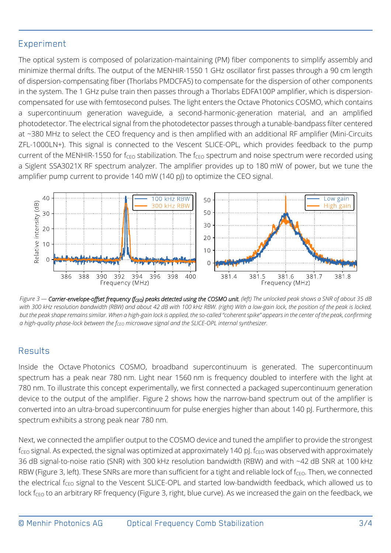#### Experiment

The optical system is composed of polarization-maintaining (PM) fiber components to simplify assembly and minimize thermal drifts. The output of the MENHIR-1550 1 GHz oscillator first passes through a 90 cm length of dispersion-compensating fiber (Thorlabs PMDCFA5) to compensate for the dispersion of other components in the system. The 1 GHz pulse train then passes through a Thorlabs EDFA100P amplifier, which is dispersioncompensated for use with femtosecond pulses. The light enters the Octave Photonics COSMO, which contains a supercontinuum generation waveguide, a second-harmonic-generation material, and an amplified photodetector. The electrical signal from the photodetector passes through a tunable-bandpass filter centered at ~380 MHz to select the CEO frequency and is then amplified with an additional RF amplifier (Mini-Circuits ZFL-1000LN+). This signal is connected to the Vescent SLICE-OPL, which provides feedback to the pump current of the MENHIR-1550 for  $f_{CFO}$  stabilization. The  $f_{CFO}$  spectrum and noise spectrum were recorded using a Siglent SSA3021X RF spectrum analyzer. The amplifier provides up to 180 mW of power, but we tune the amplifier pump current to provide 140 mW (140 pJ) to optimize the CEO signal.



*Figure 3 — Carrier-envelope-offset frequency (fCEO) peaks detected using the COSMO unit. (left) The unlocked peak shows a SNR of about 35 dB with 300 kHz resolution bandwidth (RBW) and about 42 dB with 100 kHz RBW. (right) With a low-gain lock, the position of the peak is locked, but the peak shape remains similar. When a high-gain lock is applied, the so-called "coherent spike" appears in the center of the peak, confirming a high-quality phase-lock between the fCEO microwave signal and the SLICE-OPL internal synthesizer.*

#### Results

Inside the Octave Photonics COSMO, broadband supercontinuum is generated. The supercontinuum spectrum has a peak near 780 nm. Light near 1560 nm is frequency doubled to interfere with the light at 780 nm. To illustrate this concept experimentally, we first connected a packaged supercontinuum generation device to the output of the amplifier. Figure 2 shows how the narrow-band spectrum out of the amplifier is converted into an ultra-broad supercontinuum for pulse energies higher than about 140 pJ. Furthermore, this spectrum exhibits a strong peak near 780 nm.

Next, we connected the amplifier output to the COSMO device and tuned the amplifier to provide the strongest  $f_{\text{CEO}}$  signal. As expected, the signal was optimized at approximately 140 pJ.  $f_{\text{CEO}}$  was observed with approximately 36 dB signal-to-noise ratio (SNR) with 300 kHz resolution bandwidth (RBW) and with ~42 dB SNR at 100 kHz RBW (Figure 3, left). These SNRs are more than sufficient for a tight and reliable lock of fc<sub>EO</sub>. Then, we connected the electrical f<sub>CEO</sub> signal to the Vescent SLICE-OPL and started low-bandwidth feedback, which allowed us to lock f<sub>CEO</sub> to an arbitrary RF frequency (Figure 3, right, blue curve). As we increased the gain on the feedback, we